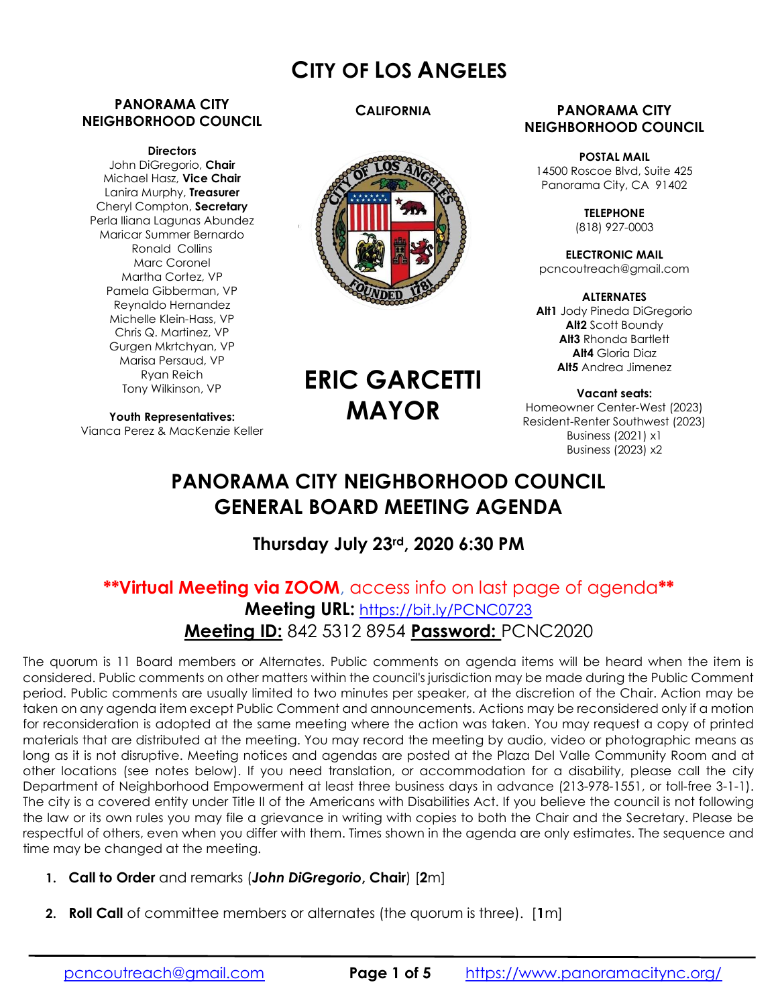# CITY OF LOS ANGELES

#### PANORAMA CITY NEIGHBORHOOD COUNCIL

#### **Directors**

John DiGregorio, Chair Michael Hasz, Vice Chair Lanira Murphy, Treasurer Cheryl Compton, Secretary Perla Iliana Lagunas Abundez Maricar Summer Bernardo Ronald Collins Marc Coronel Martha Cortez, VP Pamela Gibberman, VP Reynaldo Hernandez Michelle Klein-Hass, VP Chris Q. Martinez, VP Gurgen Mkrtchyan, VP Marisa Persaud, VP Ryan Reich Tony Wilkinson, VP

Youth Representatives: Vianca Perez & MacKenzie Keller

#### **CALIFORNIA**



#### PANORAMA CITY NEIGHBORHOOD COUNCIL

POSTAL MAIL 14500 Roscoe Blvd, Suite 425 Panorama City, CA 91402

> **TELEPHONE** (818) 927-0003

ELECTRONIC MAIL pcncoutreach@gmail.com

ALTERNATES Alt1 Jody Pineda DiGregorio Alt2 Scott Boundy Alt3 Rhonda Bartlett Alt4 Gloria Diaz Alt5 Andrea Jimenez

Vacant seats: Homeowner Center-West (2023) Resident-Renter Southwest (2023) Business (2021) x1 Business (2023) x2

# PANORAMA CITY NEIGHBORHOOD COUNCIL GENERAL BOARD MEETING AGENDA

ERIC GARCETTI

MAYOR

# Thursday July 23rd, 2020 6:30 PM

# \*\*Virtual Meeting via ZOOM, access info on last page of agenda\*\* Meeting URL: https://bit.ly/PCNC0723 Meeting ID: 842 5312 8954 Password: PCNC2020

The quorum is 11 Board members or Alternates. Public comments on agenda items will be heard when the item is considered. Public comments on other matters within the council's jurisdiction may be made during the Public Comment period. Public comments are usually limited to two minutes per speaker, at the discretion of the Chair. Action may be taken on any agenda item except Public Comment and announcements. Actions may be reconsidered only if a motion for reconsideration is adopted at the same meeting where the action was taken. You may request a copy of printed materials that are distributed at the meeting. You may record the meeting by audio, video or photographic means as long as it is not disruptive. Meeting notices and agendas are posted at the Plaza Del Valle Community Room and at other locations (see notes below). If you need translation, or accommodation for a disability, please call the city Department of Neighborhood Empowerment at least three business days in advance (213-978-1551, or toll-free 3-1-1). The city is a covered entity under Title II of the Americans with Disabilities Act. If you believe the council is not following the law or its own rules you may file a grievance in writing with copies to both the Chair and the Secretary. Please be respectful of others, even when you differ with them. Times shown in the agenda are only estimates. The sequence and time may be changed at the meeting.

- 1. Call to Order and remarks (John DiGregorio, Chair) [2m]
- 2. Roll Call of committee members or alternates (the quorum is three). [1m]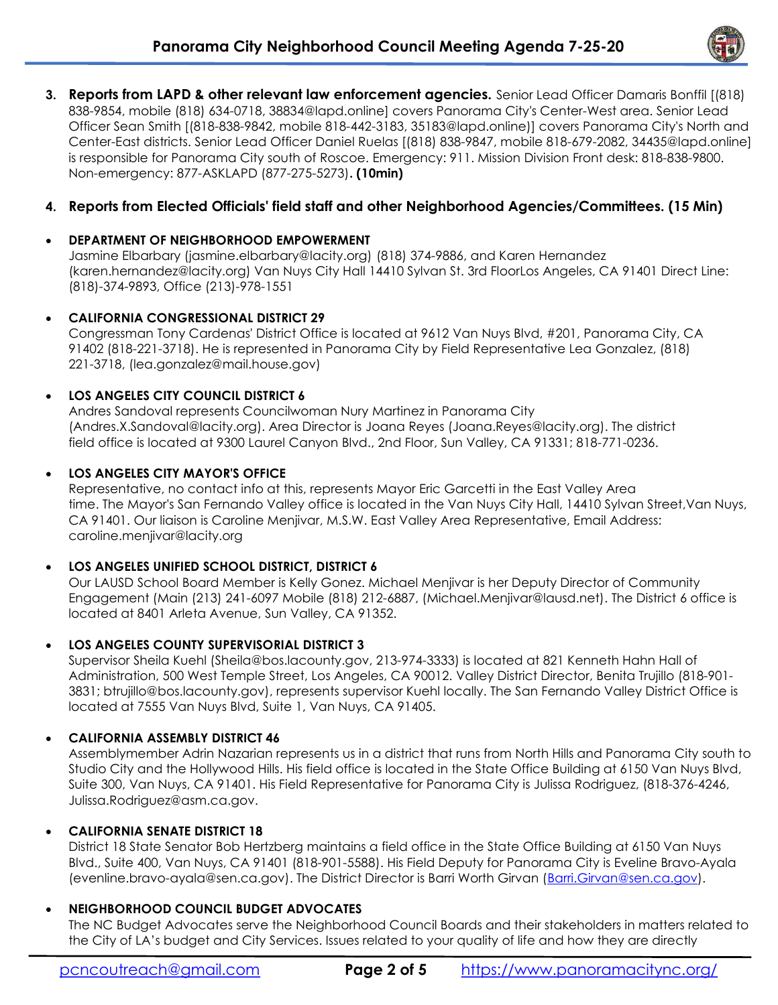

3. Reports from LAPD & other relevant law enforcement agencies. Senior Lead Officer Damaris Bonffil [(818) 838-9854, mobile (818) 634-0718, 38834@lapd.online] covers Panorama City's Center-West area. Senior Lead Officer Sean Smith [(818-838-9842, mobile 818-442-3183, 35183@lapd.online)] covers Panorama City's North and Center-East districts. Senior Lead Officer Daniel Ruelas [(818) 838-9847, mobile 818-679-2082, 34435@lapd.online] is responsible for Panorama City south of Roscoe. Emergency: 911. Mission Division Front desk: 818-838-9800. Non-emergency: 877-ASKLAPD (877-275-5273). (10min)

# 4. Reports from Elected Officials' field staff and other Neighborhood Agencies/Committees. (15 Min)

### DEPARTMENT OF NEIGHBORHOOD EMPOWERMENT

Jasmine Elbarbary (jasmine.elbarbary@lacity.org) (818) 374-9886, and Karen Hernandez (karen.hernandez@lacity.org) Van Nuys City Hall 14410 Sylvan St. 3rd FloorLos Angeles, CA 91401 Direct Line: (818)-374-9893, Office (213)-978-1551

#### CALIFORNIA CONGRESSIONAL DISTRICT 29

Congressman Tony Cardenas' District Office is located at 9612 Van Nuys Blvd, #201, Panorama City, CA 91402 (818-221-3718). He is represented in Panorama City by Field Representative Lea Gonzalez, (818) 221-3718, (lea.gonzalez@mail.house.gov)

#### LOS ANGELES CITY COUNCIL DISTRICT 6

Andres Sandoval represents Councilwoman Nury Martinez in Panorama City (Andres.X.Sandoval@lacity.org). Area Director is Joana Reyes (Joana.Reyes@lacity.org). The district field office is located at 9300 Laurel Canyon Blvd., 2nd Floor, Sun Valley, CA 91331; 818-771-0236.

#### LOS ANGELES CITY MAYOR'S OFFICE

Representative, no contact info at this, represents Mayor Eric Garcetti in the East Valley Area time. The Mayor's San Fernando Valley office is located in the Van Nuys City Hall, 14410 Sylvan Street,Van Nuys, CA 91401. Our liaison is Caroline Menjivar, M.S.W. East Valley Area Representative, Email Address: caroline.menjivar@lacity.org

#### LOS ANGELES UNIFIED SCHOOL DISTRICT, DISTRICT 6

Our LAUSD School Board Member is Kelly Gonez. Michael Menjivar is her Deputy Director of Community Engagement (Main (213) 241-6097 Mobile (818) 212-6887, (Michael.Menjivar@lausd.net). The District 6 office is located at 8401 Arleta Avenue, Sun Valley, CA 91352.

# LOS ANGELES COUNTY SUPERVISORIAL DISTRICT 3

Supervisor Sheila Kuehl (Sheila@bos.lacounty.gov, 213-974-3333) is located at 821 Kenneth Hahn Hall of Administration, 500 West Temple Street, Los Angeles, CA 90012. Valley District Director, Benita Trujillo (818-901- 3831; btrujillo@bos.lacounty.gov), represents supervisor Kuehl locally. The San Fernando Valley District Office is located at 7555 Van Nuys Blvd, Suite 1, Van Nuys, CA 91405.

#### CALIFORNIA ASSEMBLY DISTRICT 46

Assemblymember Adrin Nazarian represents us in a district that runs from North Hills and Panorama City south to Studio City and the Hollywood Hills. His field office is located in the State Office Building at 6150 Van Nuys Blvd, Suite 300, Van Nuys, CA 91401. His Field Representative for Panorama City is Julissa Rodriguez, (818-376-4246, Julissa.Rodriguez@asm.ca.gov.

#### CALIFORNIA SENATE DISTRICT 18

District 18 State Senator Bob Hertzberg maintains a field office in the State Office Building at 6150 Van Nuys Blvd., Suite 400, Van Nuys, CA 91401 (818-901-5588). His Field Deputy for Panorama City is Eveline Bravo-Ayala (evenline.bravo-ayala@sen.ca.gov). The District Director is Barri Worth Girvan (Barri.Girvan@sen.ca.gov).

# NEIGHBORHOOD COUNCIL BUDGET ADVOCATES

The NC Budget Advocates serve the Neighborhood Council Boards and their stakeholders in matters related to the City of LA's budget and City Services. Issues related to your quality of life and how they are directly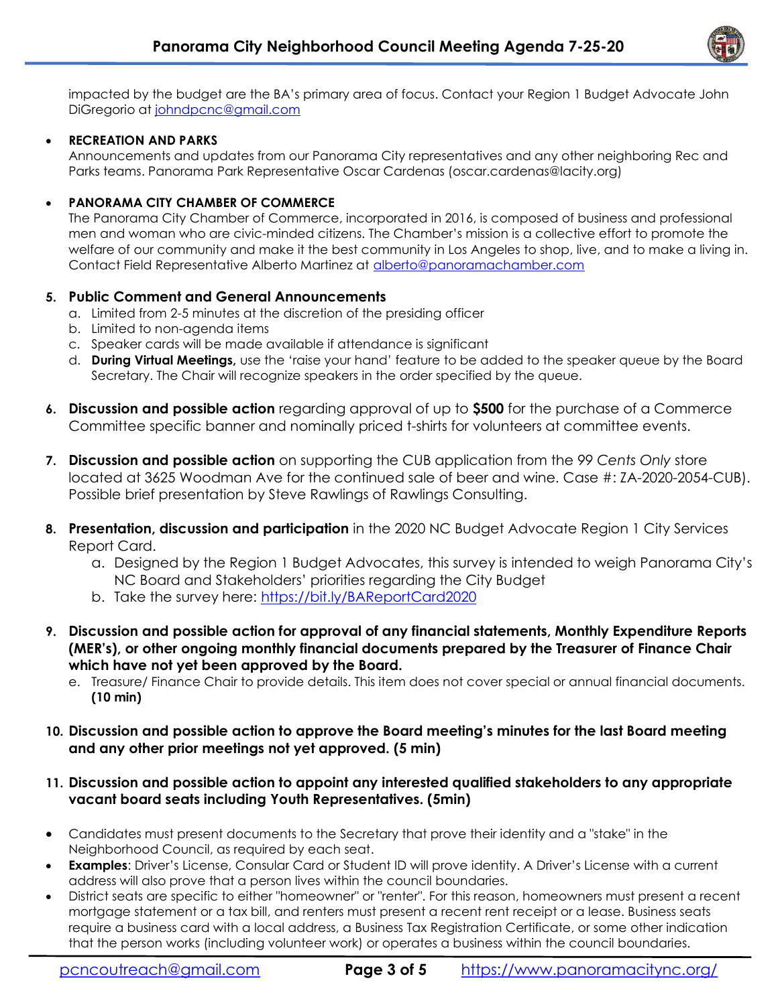

impacted by the budget are the BA's primary area of focus. Contact your Region 1 Budget Advocate John DiGregorio at johndpcnc@gmail.com

#### RECREATION AND PARKS

Announcements and updates from our Panorama City representatives and any other neighboring Rec and Parks teams. Panorama Park Representative Oscar Cardenas (oscar.cardenas@lacity.org)

#### PANORAMA CITY CHAMBER OF COMMERCE

The Panorama City Chamber of Commerce, incorporated in 2016, is composed of business and professional men and woman who are civic-minded citizens. The Chamber's mission is a collective effort to promote the welfare of our community and make it the best community in Los Angeles to shop, live, and to make a living in. Contact Field Representative Alberto Martinez at alberto@panoramachamber.com

#### 5. Public Comment and General Announcements

- a. Limited from 2-5 minutes at the discretion of the presiding officer
- b. Limited to non-agenda items
- c. Speaker cards will be made available if attendance is significant
- d. During Virtual Meetings, use the 'raise your hand' feature to be added to the speaker queue by the Board Secretary. The Chair will recognize speakers in the order specified by the queue.
- 6. Discussion and possible action regarding approval of up to \$500 for the purchase of a Commerce Committee specific banner and nominally priced t-shirts for volunteers at committee events.
- 7. Discussion and possible action on supporting the CUB application from the 99 Cents Only store located at 3625 Woodman Ave for the continued sale of beer and wine. Case #: ZA-2020-2054-CUB). Possible brief presentation by Steve Rawlings of Rawlings Consulting.
- 8. Presentation, discussion and participation in the 2020 NC Budget Advocate Region 1 City Services Report Card.
	- a. Designed by the Region 1 Budget Advocates, this survey is intended to weigh Panorama City's NC Board and Stakeholders' priorities regarding the City Budget
	- b. Take the survey here: https://bit.ly/BAReportCard2020
- 9. Discussion and possible action for approval of any financial statements, Monthly Expenditure Reports (MER's), or other ongoing monthly financial documents prepared by the Treasurer of Finance Chair which have not yet been approved by the Board.
	- e. Treasure/ Finance Chair to provide details. This item does not cover special or annual financial documents. (10 min)
- 10. Discussion and possible action to approve the Board meeting's minutes for the last Board meeting and any other prior meetings not yet approved. (5 min)

#### 11. Discussion and possible action to appoint any interested qualified stakeholders to any appropriate vacant board seats including Youth Representatives. (5min)

- Candidates must present documents to the Secretary that prove their identity and a "stake" in the Neighborhood Council, as required by each seat.
- Examples: Driver's License, Consular Card or Student ID will prove identity. A Driver's License with a current address will also prove that a person lives within the council boundaries.
- District seats are specific to either "homeowner" or "renter". For this reason, homeowners must present a recent mortgage statement or a tax bill, and renters must present a recent rent receipt or a lease. Business seats require a business card with a local address, a Business Tax Registration Certificate, or some other indication that the person works (including volunteer work) or operates a business within the council boundaries.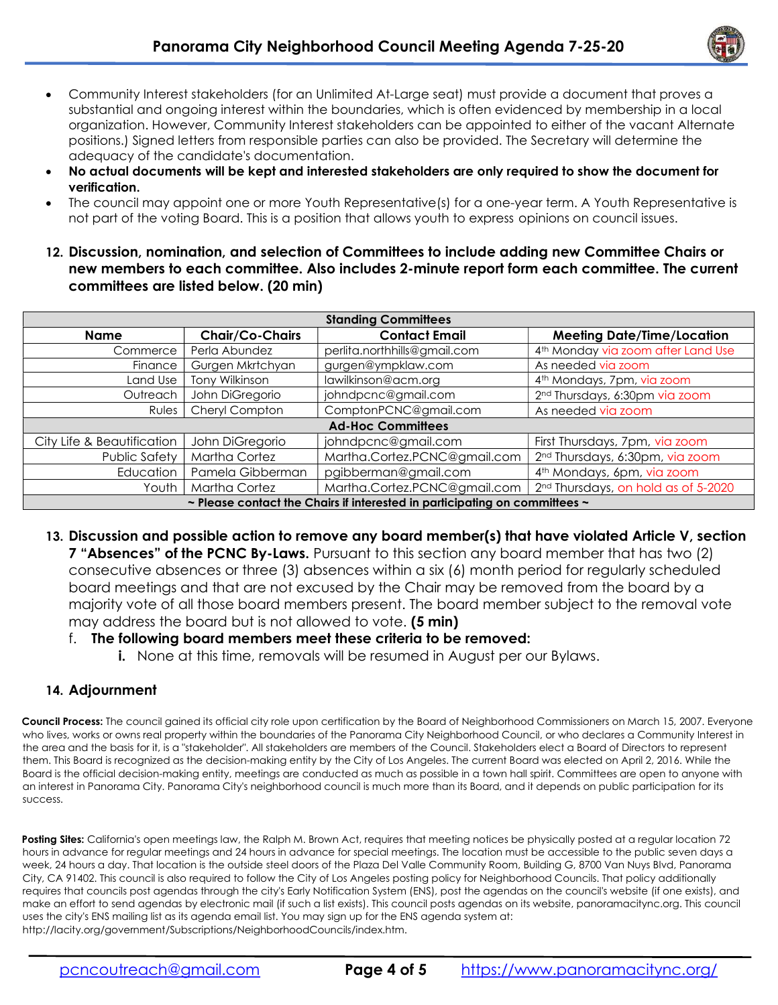

- Community Interest stakeholders (for an Unlimited At-Large seat) must provide a document that proves a substantial and ongoing interest within the boundaries, which is often evidenced by membership in a local organization. However, Community Interest stakeholders can be appointed to either of the vacant Alternate positions.) Signed letters from responsible parties can also be provided. The Secretary will determine the adequacy of the candidate's documentation.
- No actual documents will be kept and interested stakeholders are only required to show the document for verification.
- The council may appoint one or more Youth Representative(s) for a one-year term. A Youth Representative is not part of the voting Board. This is a position that allows youth to express opinions on council issues.
- 12. Discussion, nomination, and selection of Committees to include adding new Committee Chairs or new members to each committee. Also includes 2-minute report form each committee. The current committees are listed below. (20 min)

| <b>Standing Committees</b>                                                           |                        |                              |                                                 |
|--------------------------------------------------------------------------------------|------------------------|------------------------------|-------------------------------------------------|
| <b>Name</b>                                                                          | <b>Chair/Co-Chairs</b> | <b>Contact Email</b>         | <b>Meeting Date/Time/Location</b>               |
| Commerce                                                                             | Perla Abundez          | perlita.northhills@gmail.com | 4 <sup>th</sup> Monday via zoom after Land Use  |
| Finance                                                                              | Gurgen Mkrtchyan       | gurgen@ympklaw.com           | As needed via zoom                              |
| Land Use                                                                             | Tony Wilkinson         | lawilkinson@acm.org          | 4 <sup>th</sup> Mondays, 7pm, via zoom          |
| Outreach                                                                             | John DiGregorio        | johndpcnc@gmail.com          | 2 <sup>nd</sup> Thursdays, 6:30pm via zoom      |
| Rules                                                                                | Cheryl Compton         | ComptonPCNC@gmail.com        | As needed via zoom                              |
| <b>Ad-Hoc Committees</b>                                                             |                        |                              |                                                 |
| City Life & Beautification                                                           | John DiGregorio        | johndpcnc@gmail.com          | First Thursdays, 7pm, via zoom                  |
| <b>Public Safety</b>                                                                 | <b>Martha Cortez</b>   | Martha.Cortez.PCNC@gmail.com | 2 <sup>nd</sup> Thursdays, 6:30pm, via zoom     |
| Education                                                                            | Pamela Gibberman       | pgibberman@gmail.com         | 4 <sup>th</sup> Mondays, 6pm, via zoom          |
| Youth                                                                                | <b>Martha Cortez</b>   | Martha.Cortez.PCNC@gmail.com | 2 <sup>nd</sup> Thursdays, on hold as of 5-2020 |
| $\sim$ Please contact the Chairs if interested in participating on committees $\sim$ |                        |                              |                                                 |

13. Discussion and possible action to remove any board member(s) that have violated Article V, section **7 "Absences" of the PCNC By-Laws.** Pursuant to this section any board member that has two (2) consecutive absences or three (3) absences within a six (6) month period for regularly scheduled board meetings and that are not excused by the Chair may be removed from the board by a majority vote of all those board members present. The board member subject to the removal vote may address the board but is not allowed to vote. (5 min)

# f. The following board members meet these criteria to be removed:

i. None at this time, removals will be resumed in August per our Bylaws.

# 14. Adjournment

Council Process: The council gained its official city role upon certification by the Board of Neighborhood Commissioners on March 15, 2007. Everyone who lives, works or owns real property within the boundaries of the Panorama City Neighborhood Council, or who declares a Community Interest in the area and the basis for it, is a "stakeholder". All stakeholders are members of the Council. Stakeholders elect a Board of Directors to represent them. This Board is recognized as the decision-making entity by the City of Los Angeles. The current Board was elected on April 2, 2016. While the Board is the official decision-making entity, meetings are conducted as much as possible in a town hall spirit. Committees are open to anyone with an interest in Panorama City. Panorama City's neighborhood council is much more than its Board, and it depends on public participation for its success.

Posting Sites: California's open meetings law, the Ralph M. Brown Act, requires that meeting notices be physically posted at a regular location 72 hours in advance for regular meetings and 24 hours in advance for special meetings. The location must be accessible to the public seven days a week, 24 hours a day. That location is the outside steel doors of the Plaza Del Valle Community Room, Building G, 8700 Van Nuys Blvd, Panorama City, CA 91402. This council is also required to follow the City of Los Angeles posting policy for Neighborhood Councils. That policy additionally requires that councils post agendas through the city's Early Notification System (ENS), post the agendas on the council's website (if one exists), and make an effort to send agendas by electronic mail (if such a list exists). This council posts agendas on its website, panoramacitync.org. This council uses the city's ENS mailing list as its agenda email list. You may sign up for the ENS agenda system at: http://lacity.org/government/Subscriptions/NeighborhoodCouncils/index.htm.